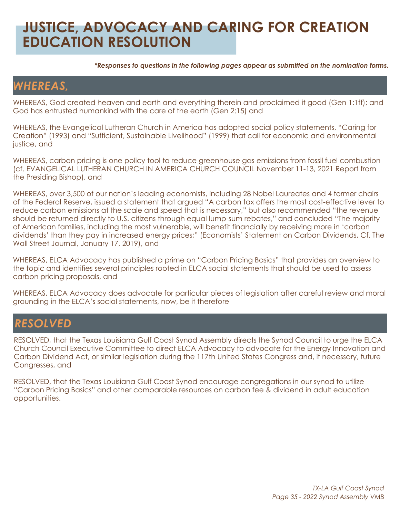# **JUSTICE, ADVOCACY AND CARING FOR CREATION EDUCATION RESOLUTION**

*\*Responses to questions in the following pages appear as submitted on the nomination forms.*

### *WHEREAS,*

WHEREAS, God created heaven and earth and everything therein and proclaimed it good (Gen 1:1ff); and God has entrusted humankind with the care of the earth (Gen 2:15) and

WHEREAS, the Evangelical Lutheran Church in America has adopted social policy statements, "Caring for Creation" (1993) and "Sufficient, Sustainable Livelihood" (1999) that call for economic and environmental justice, and

WHEREAS, carbon pricing is one policy tool to reduce greenhouse gas emissions from fossil fuel combustion (cf. EVANGELICAL LUTHERAN CHURCH IN AMERICA CHURCH COUNCIL November 11-13, 2021 Report from the Presiding Bishop), and

WHEREAS, over 3,500 of our nation's leading economists, including 28 Nobel Laureates and 4 former chairs of the Federal Reserve, issued a statement that argued "A carbon tax offers the most cost-effective lever to reduce carbon emissions at the scale and speed that is necessary," but also recommended "the revenue should be returned directly to U.S. citizens through equal lump-sum rebates," and concluded "The majority of American families, including the most vulnerable, will benefit financially by receiving more in 'carbon dividends' than they pay in increased energy prices;" (Economists' Statement on Carbon Dividends, Cf. The Wall Street Journal, January 17, 2019), and

WHEREAS, ELCA Advocacy has published a prime on "Carbon Pricing Basics" that provides an overview to the topic and identifies several principles rooted in ELCA social statements that should be used to assess carbon pricing proposals, and

WHEREAS, ELCA Advocacy does advocate for particular pieces of legislation after careful review and moral grounding in the ELCA's social statements, now, be it therefore

#### *RESOLVED*

RESOLVED, that the Texas Louisiana Gulf Coast Synod Assembly directs the Synod Council to urge the ELCA Church Council Executive Committee to direct ELCA Advocacy to advocate for the Energy Innovation and Carbon Dividend Act, or similar legislation during the 117th United States Congress and, if necessary, future Congresses, and

RESOLVED, that the Texas Louisiana Gulf Coast Synod encourage congregations in our synod to utilize "Carbon Pricing Basics" and other comparable resources on carbon fee & dividend in adult education opportunities.